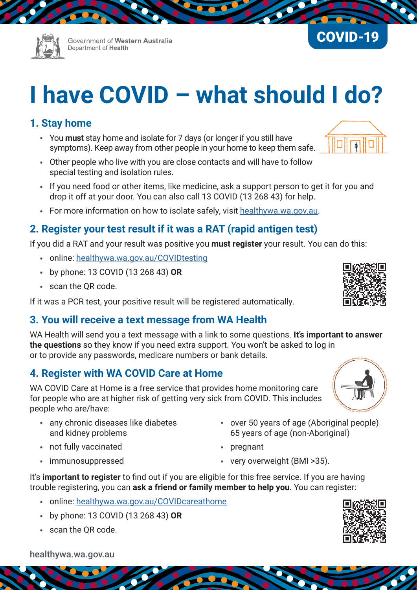Government of Western Australia Department of Health

# **I have COVID – what should I do?**

## **1. Stay home**

- You **must** stay home and isolate for 7 days (or longer if you still have symptoms). Keep away from other people in your home to keep them safe.
- Other people who live with you are close contacts and will have to follow special testing and isolation rules.
- If you need food or other items, like medicine, ask a support person to get it for you and drop it off at your door. You can also call 13 COVID (13 268 43) for help.
- For more information on how to isolate safely, visit healthywa.wa.gov.au.

## **2. Register your test result if it was a RAT (rapid antigen test)**

If you did a RAT and your result was positive you **must register** your result. You can do this:

- online: [healthywa.wa.gov.au/COVIDtesting](http://www.healthywa.wa.gov.au/COVIDtesting)
- by phone: 13 COVID (13 268 43) **OR**
- scan the QR code.

If it was a PCR test, your positive result will be registered automatically.

## **3. You will receive a text message from WA Health**

WA Health will send you a text message with a link to some questions. **It's important to answer the questions** so they know if you need extra support. You won't be asked to log in or to provide any passwords, medicare numbers or bank details.

## **4. Register with WA COVID Care at Home**

WA COVID Care at Home is a free service that provides home monitoring care for people who are at higher risk of getting very sick from COVID. This includes people who are/have:

- any chronic diseases like diabetes and kidney problems
- not fully vaccinated
- immunosuppressed
- over 50 years of age (Aboriginal people) 65 years of age (non-Aboriginal)
- pregnant
- very overweight (BMI >35).

It's **important to register** to find out if you are eligible for this free service. If you are having trouble registering, you can **ask a friend or family member to help you**. You can register:

- online: [healthywa.wa.gov.au/COVIDcareathome](http://www.healthywa.wa.gov.au/COVIDcareathome )
- by phone: 13 COVID (13 268 43) **OR**
- scan the QR code.



[healthywa.wa.gov.au](https://healthywa.wa.gov.au)